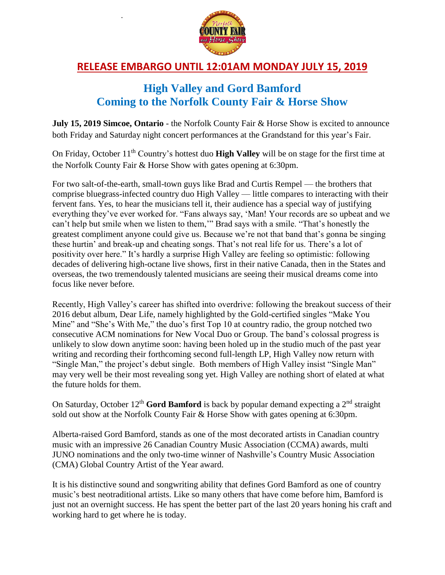

.

## **RELEASE EMBARGO UNTIL 12:01AM MONDAY JULY 15, 2019**

## **High Valley and Gord Bamford Coming to the Norfolk County Fair & Horse Show**

**July 15, 2019 Simcoe, Ontario** - the Norfolk County Fair & Horse Show is excited to announce both Friday and Saturday night concert performances at the Grandstand for this year's Fair.

On Friday, October 11th Country's hottest duo **High Valley** will be on stage for the first time at the Norfolk County Fair & Horse Show with gates opening at 6:30pm.

For two salt-of-the-earth, small-town guys like Brad and Curtis Rempel — the brothers that comprise bluegrass-infected country duo High Valley — little compares to interacting with their fervent fans. Yes, to hear the musicians tell it, their audience has a special way of justifying everything they've ever worked for. "Fans always say, 'Man! Your records are so upbeat and we can't help but smile when we listen to them,'" Brad says with a smile. "That's honestly the greatest compliment anyone could give us. Because we're not that band that's gonna be singing these hurtin' and break-up and cheating songs. That's not real life for us. There's a lot of positivity over here." It's hardly a surprise High Valley are feeling so optimistic: following decades of delivering high-octane live shows, first in their native Canada, then in the States and overseas, the two tremendously talented musicians are seeing their musical dreams come into focus like never before.

Recently, High Valley's career has shifted into overdrive: following the breakout success of their 2016 debut album, Dear Life, namely highlighted by the Gold-certified singles "Make You Mine" and "She's With Me," the duo's first Top 10 at country radio, the group notched two consecutive ACM nominations for New Vocal Duo or Group. The band's colossal progress is unlikely to slow down anytime soon: having been holed up in the studio much of the past year writing and recording their forthcoming second full-length LP, High Valley now return with "Single Man," the project's debut single. Both members of High Valley insist "Single Man" may very well be their most revealing song yet. High Valley are nothing short of elated at what the future holds for them.

On Saturday, October 12<sup>th</sup> **Gord Bamford** is back by popular demand expecting a 2<sup>nd</sup> straight sold out show at the Norfolk County Fair & Horse Show with gates opening at 6:30pm.

Alberta-raised Gord Bamford, stands as one of the most decorated artists in Canadian country music with an impressive 26 Canadian Country Music Association (CCMA) awards, multi JUNO nominations and the only two-time winner of Nashville's Country Music Association (CMA) Global Country Artist of the Year award.

It is his distinctive sound and songwriting ability that defines Gord Bamford as one of country music's best neotraditional artists. Like so many others that have come before him, Bamford is just not an overnight success. He has spent the better part of the last 20 years honing his craft and working hard to get where he is today.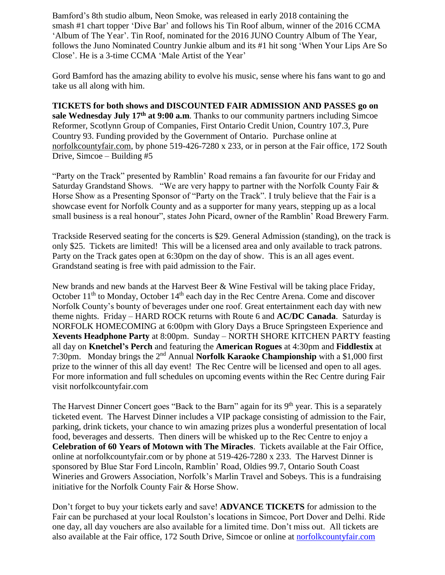Bamford's 8th studio album, Neon Smoke, was released in early 2018 containing the smash #1 chart topper 'Dive Bar' and follows his Tin Roof album, winner of the 2016 CCMA 'Album of The Year'. Tin Roof, nominated for the 2016 JUNO Country Album of The Year, follows the Juno Nominated Country Junkie album and its #1 hit song 'When Your Lips Are So Close'. He is a 3-time CCMA 'Male Artist of the Year'

Gord Bamford has the amazing ability to evolve his music, sense where his fans want to go and take us all along with him.

**TICKETS for both shows and DISCOUNTED FAIR ADMISSION AND PASSES go on sale Wednesday July 17th at 9:00 a.m**. Thanks to our community partners including Simcoe Reformer, Scotlynn Group of Companies, First Ontario Credit Union, Country 107.3, Pure Country 93. Funding provided by the Government of Ontario. Purchase online at [norfolkcountyfair.com,](http://www.norfolkcountyfair.com/) by phone 519-426-7280 x 233, or in person at the Fair office, 172 South Drive, Simcoe – Building #5

"Party on the Track" presented by Ramblin' Road remains a fan favourite for our Friday and Saturday Grandstand Shows. "We are very happy to partner with the Norfolk County Fair & Horse Show as a Presenting Sponsor of "Party on the Track". I truly believe that the Fair is a showcase event for Norfolk County and as a supporter for many years, stepping up as a local small business is a real honour", states John Picard, owner of the Ramblin' Road Brewery Farm.

Trackside Reserved seating for the concerts is \$29. General Admission (standing), on the track is only \$25. Tickets are limited! This will be a licensed area and only available to track patrons. Party on the Track gates open at 6:30pm on the day of show. This is an all ages event. Grandstand seating is free with paid admission to the Fair.

New brands and new bands at the Harvest Beer & Wine Festival will be taking place Friday, October  $11<sup>th</sup>$  to Monday, October  $14<sup>th</sup>$  each day in the Rec Centre Arena. Come and discover Norfolk County's bounty of beverages under one roof. Great entertainment each day with new theme nights. Friday – HARD ROCK returns with Route 6 and **AC/DC Canada**. Saturday is NORFOLK HOMECOMING at 6:00pm with Glory Days a Bruce Springsteen Experience and **Xevents Headphone Party** at 8:00pm. Sunday – NORTH SHORE KITCHEN PARTY feasting all day on **Knetchel's Perch** and featuring the **American Rogues** at 4:30pm and **Fiddlestix** at 7:30pm. Monday brings the 2<sup>nd</sup> Annual **Norfolk Karaoke Championship** with a \$1,000 first prize to the winner of this all day event! The Rec Centre will be licensed and open to all ages. For more information and full schedules on upcoming events within the Rec Centre during Fair visit norfolkcountyfair.com

The Harvest Dinner Concert goes "Back to the Barn" again for its 9<sup>th</sup> year. This is a separately ticketed event. The Harvest Dinner includes a VIP package consisting of admission to the Fair, parking, drink tickets, your chance to win amazing prizes plus a wonderful presentation of local food, beverages and desserts. Then diners will be whisked up to the Rec Centre to enjoy a **Celebration of 60 Years of Motown with The Miracles**. Tickets available at the Fair Office, online at norfolkcountyfair.com or by phone at 519-426-7280 x 233. The Harvest Dinner is sponsored by Blue Star Ford Lincoln, Ramblin' Road, Oldies 99.7, Ontario South Coast Wineries and Growers Association, Norfolk's Marlin Travel and Sobeys. This is a fundraising initiative for the Norfolk County Fair & Horse Show.

Don't forget to buy your tickets early and save! **ADVANCE TICKETS** for admission to the Fair can be purchased at your local Roulston's locations in Simcoe, Port Dover and Delhi. Ride one day, all day vouchers are also available for a limited time. Don't miss out. All tickets are also available at the Fair office, 172 South Drive, Simcoe or online at [norfolkcountyfair.com](http://www.norfolkcountyfair.com/)